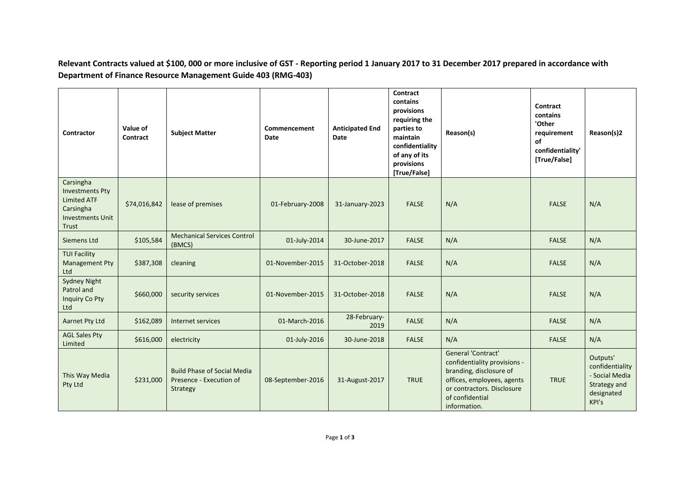**Relevant Contracts valued at \$100, 000 or more inclusive of GST - Reporting period 1 January 2017 to 31 December 2017 prepared in accordance with Department of Finance Resource Management Guide 403 (RMG-403)**

| Contractor                                                                                                 | Value of<br>Contract | <b>Subject Matter</b>                                                     | Commencement<br>Date | <b>Anticipated End</b><br>Date | Contract<br>contains<br>provisions<br>requiring the<br>parties to<br>maintain<br>confidentiality<br>of any of its<br>provisions<br>[True/False] | Reason(s)                                                                                                                                                                    | Contract<br>contains<br>'Other<br>requirement<br>of<br>confidentiality'<br>[True/False] | Reason(s)2                                                                           |
|------------------------------------------------------------------------------------------------------------|----------------------|---------------------------------------------------------------------------|----------------------|--------------------------------|-------------------------------------------------------------------------------------------------------------------------------------------------|------------------------------------------------------------------------------------------------------------------------------------------------------------------------------|-----------------------------------------------------------------------------------------|--------------------------------------------------------------------------------------|
| Carsingha<br><b>Investments Pty</b><br><b>Limited ATF</b><br>Carsingha<br><b>Investments Unit</b><br>Trust | \$74,016,842         | lease of premises                                                         | 01-February-2008     | 31-January-2023                | <b>FALSE</b>                                                                                                                                    | N/A                                                                                                                                                                          | <b>FALSE</b>                                                                            | N/A                                                                                  |
| Siemens Ltd                                                                                                | \$105,584            | <b>Mechanical Services Control</b><br>(BMCS)                              | 01-July-2014         | 30-June-2017                   | <b>FALSE</b>                                                                                                                                    | N/A                                                                                                                                                                          | <b>FALSE</b>                                                                            | N/A                                                                                  |
| <b>TUI Facility</b><br><b>Management Pty</b><br>Ltd                                                        | \$387,308            | cleaning                                                                  | 01-November-2015     | 31-October-2018                | <b>FALSE</b>                                                                                                                                    | N/A                                                                                                                                                                          | <b>FALSE</b>                                                                            | N/A                                                                                  |
| <b>Sydney Night</b><br>Patrol and<br>Inquiry Co Pty<br>Ltd                                                 | \$660,000            | security services                                                         | 01-November-2015     | 31-October-2018                | <b>FALSE</b>                                                                                                                                    | N/A                                                                                                                                                                          | <b>FALSE</b>                                                                            | N/A                                                                                  |
| Aarnet Pty Ltd                                                                                             | \$162,089            | Internet services                                                         | 01-March-2016        | 28-February-<br>2019           | <b>FALSE</b>                                                                                                                                    | N/A                                                                                                                                                                          | <b>FALSE</b>                                                                            | N/A                                                                                  |
| <b>AGL Sales Pty</b><br>Limited                                                                            | \$616,000            | electricity                                                               | 01-July-2016         | 30-June-2018                   | <b>FALSE</b>                                                                                                                                    | N/A                                                                                                                                                                          | <b>FALSE</b>                                                                            | N/A                                                                                  |
| This Way Media<br>Pty Ltd                                                                                  | \$231,000            | <b>Build Phase of Social Media</b><br>Presence - Execution of<br>Strategy | 08-September-2016    | 31-August-2017                 | <b>TRUE</b>                                                                                                                                     | General 'Contract'<br>confidentiality provisions -<br>branding, disclosure of<br>offices, employees, agents<br>or contractors. Disclosure<br>of confidential<br>information. | <b>TRUE</b>                                                                             | Outputs'<br>confidentiality<br>- Social Media<br>Strategy and<br>designated<br>KPI's |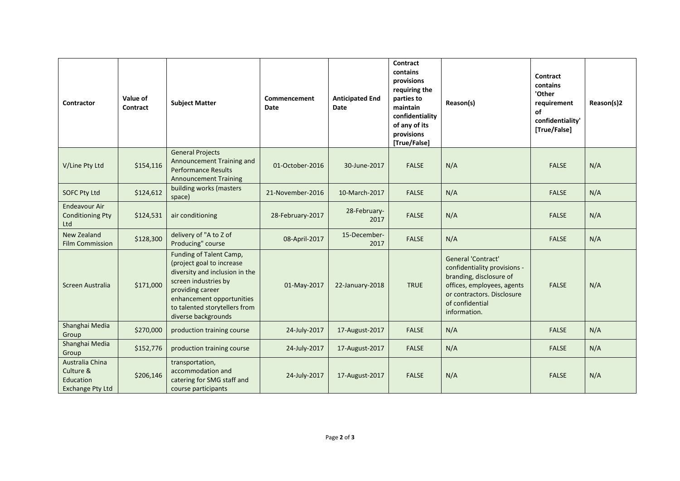| Contractor                                                           | Value of<br>Contract | <b>Subject Matter</b>                                                                                                                                                                                                   | Commencement<br>Date | <b>Anticipated End</b><br><b>Date</b> | <b>Contract</b><br>contains<br>provisions<br>requiring the<br>parties to<br>maintain<br>confidentiality<br>of any of its<br>provisions<br>[True/False] | Reason(s)                                                                                                                                                                    | Contract<br>contains<br>'Other<br>requirement<br>of<br>confidentiality'<br>[True/False] | Reason(s)2 |
|----------------------------------------------------------------------|----------------------|-------------------------------------------------------------------------------------------------------------------------------------------------------------------------------------------------------------------------|----------------------|---------------------------------------|--------------------------------------------------------------------------------------------------------------------------------------------------------|------------------------------------------------------------------------------------------------------------------------------------------------------------------------------|-----------------------------------------------------------------------------------------|------------|
| V/Line Pty Ltd                                                       | \$154,116            | <b>General Projects</b><br>Announcement Training and<br><b>Performance Results</b><br><b>Announcement Training</b>                                                                                                      | 01-October-2016      | 30-June-2017                          | <b>FALSE</b>                                                                                                                                           | N/A                                                                                                                                                                          | <b>FALSE</b>                                                                            | N/A        |
| <b>SOFC Pty Ltd</b>                                                  | \$124,612            | building works (masters<br>space)                                                                                                                                                                                       | 21-November-2016     | 10-March-2017                         | <b>FALSE</b>                                                                                                                                           | N/A                                                                                                                                                                          | <b>FALSE</b>                                                                            | N/A        |
| <b>Endeavour Air</b><br><b>Conditioning Pty</b><br>Ltd               | \$124,531            | air conditioning                                                                                                                                                                                                        | 28-February-2017     | 28-February-<br>2017                  | <b>FALSE</b>                                                                                                                                           | N/A                                                                                                                                                                          | <b>FALSE</b>                                                                            | N/A        |
| New Zealand<br><b>Film Commission</b>                                | \$128,300            | delivery of "A to Z of<br>Producing" course                                                                                                                                                                             | 08-April-2017        | 15-December-<br>2017                  | <b>FALSE</b>                                                                                                                                           | N/A                                                                                                                                                                          | <b>FALSE</b>                                                                            | N/A        |
| Screen Australia                                                     | \$171,000            | Funding of Talent Camp,<br>(project goal to increase<br>diversity and inclusion in the<br>screen industries by<br>providing career<br>enhancement opportunities<br>to talented storytellers from<br>diverse backgrounds | 01-May-2017          | 22-January-2018                       | <b>TRUE</b>                                                                                                                                            | General 'Contract'<br>confidentiality provisions -<br>branding, disclosure of<br>offices, employees, agents<br>or contractors. Disclosure<br>of confidential<br>information. | <b>FALSE</b>                                                                            | N/A        |
| Shanghai Media<br>Group                                              | \$270,000            | production training course                                                                                                                                                                                              | 24-July-2017         | 17-August-2017                        | <b>FALSE</b>                                                                                                                                           | N/A                                                                                                                                                                          | <b>FALSE</b>                                                                            | N/A        |
| Shanghai Media<br>Group                                              | \$152,776            | production training course                                                                                                                                                                                              | 24-July-2017         | 17-August-2017                        | <b>FALSE</b>                                                                                                                                           | N/A                                                                                                                                                                          | <b>FALSE</b>                                                                            | N/A        |
| Australia China<br>Culture &<br>Education<br><b>Exchange Pty Ltd</b> | \$206,146            | transportation,<br>accommodation and<br>catering for SMG staff and<br>course participants                                                                                                                               | 24-July-2017         | 17-August-2017                        | <b>FALSE</b>                                                                                                                                           | N/A                                                                                                                                                                          | <b>FALSE</b>                                                                            | N/A        |